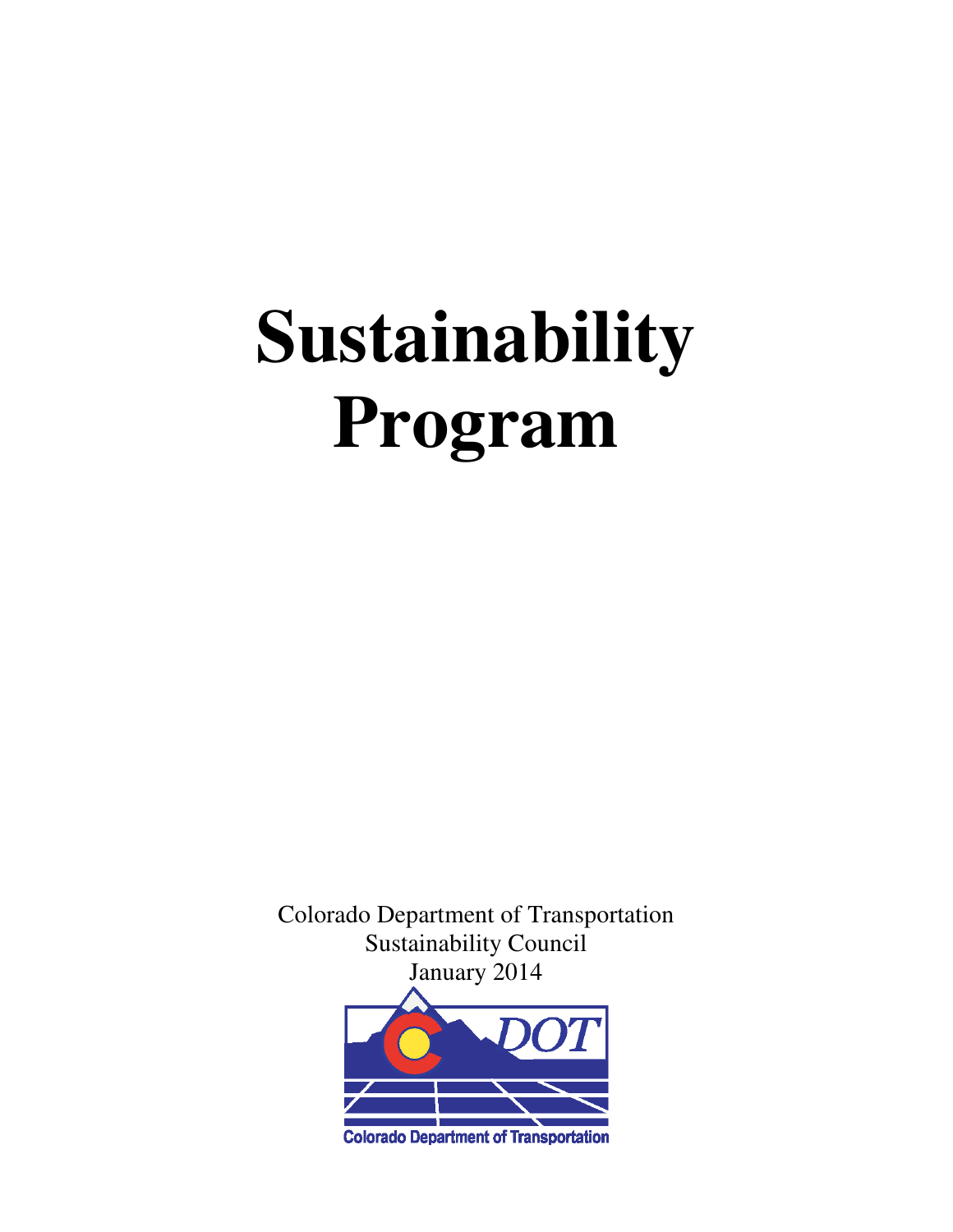# **Sustainability Program**

Colorado Department of Transportation Sustainability Council January 2014

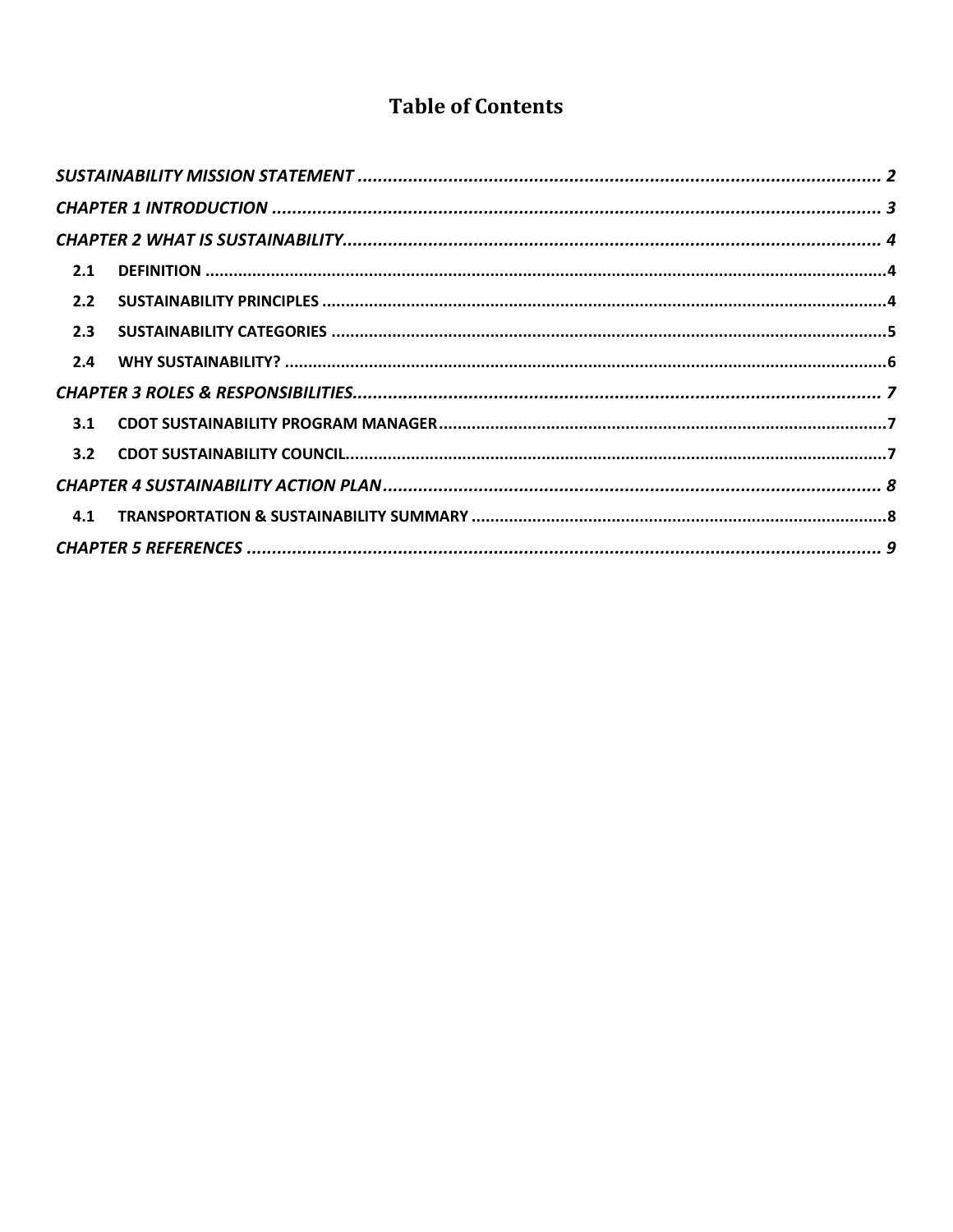### **Table of Contents**

| 2.1 |  |  |
|-----|--|--|
| 2.2 |  |  |
| 2.3 |  |  |
|     |  |  |
|     |  |  |
| 3.1 |  |  |
|     |  |  |
|     |  |  |
| 4.1 |  |  |
|     |  |  |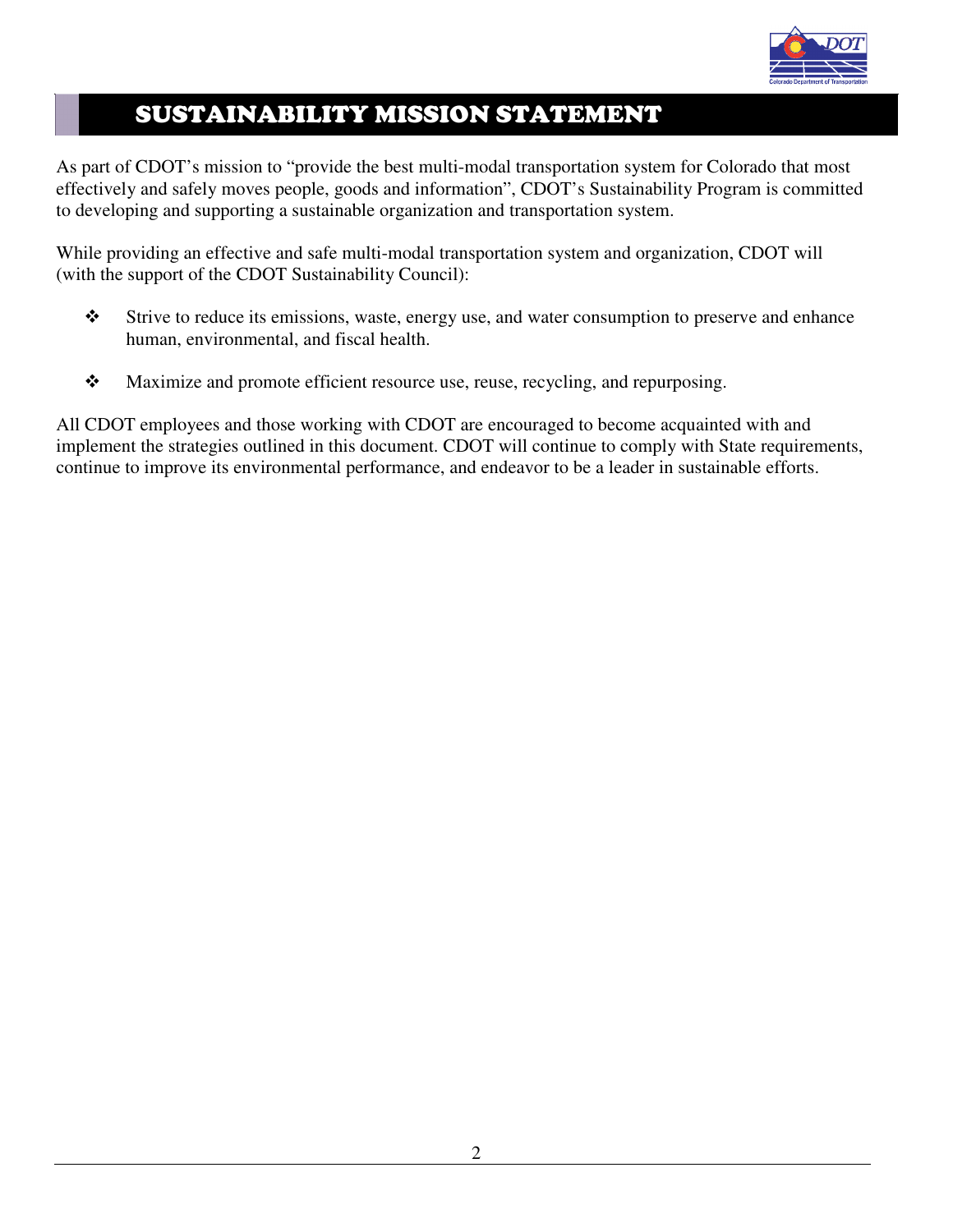

# SUSTAINABILITY MISSION STATEMENT

As part of CDOT's mission to "provide the best multi-modal transportation system for Colorado that most effectively and safely moves people, goods and information", CDOT's Sustainability Program is committed to developing and supporting a sustainable organization and transportation system.

While providing an effective and safe multi-modal transportation system and organization, CDOT will (with the support of the CDOT Sustainability Council):

- Strive to reduce its emissions, waste, energy use, and water consumption to preserve and enhance human, environmental, and fiscal health.
- Maximize and promote efficient resource use, reuse, recycling, and repurposing.

All CDOT employees and those working with CDOT are encouraged to become acquainted with and implement the strategies outlined in this document. CDOT will continue to comply with State requirements, continue to improve its environmental performance, and endeavor to be a leader in sustainable efforts.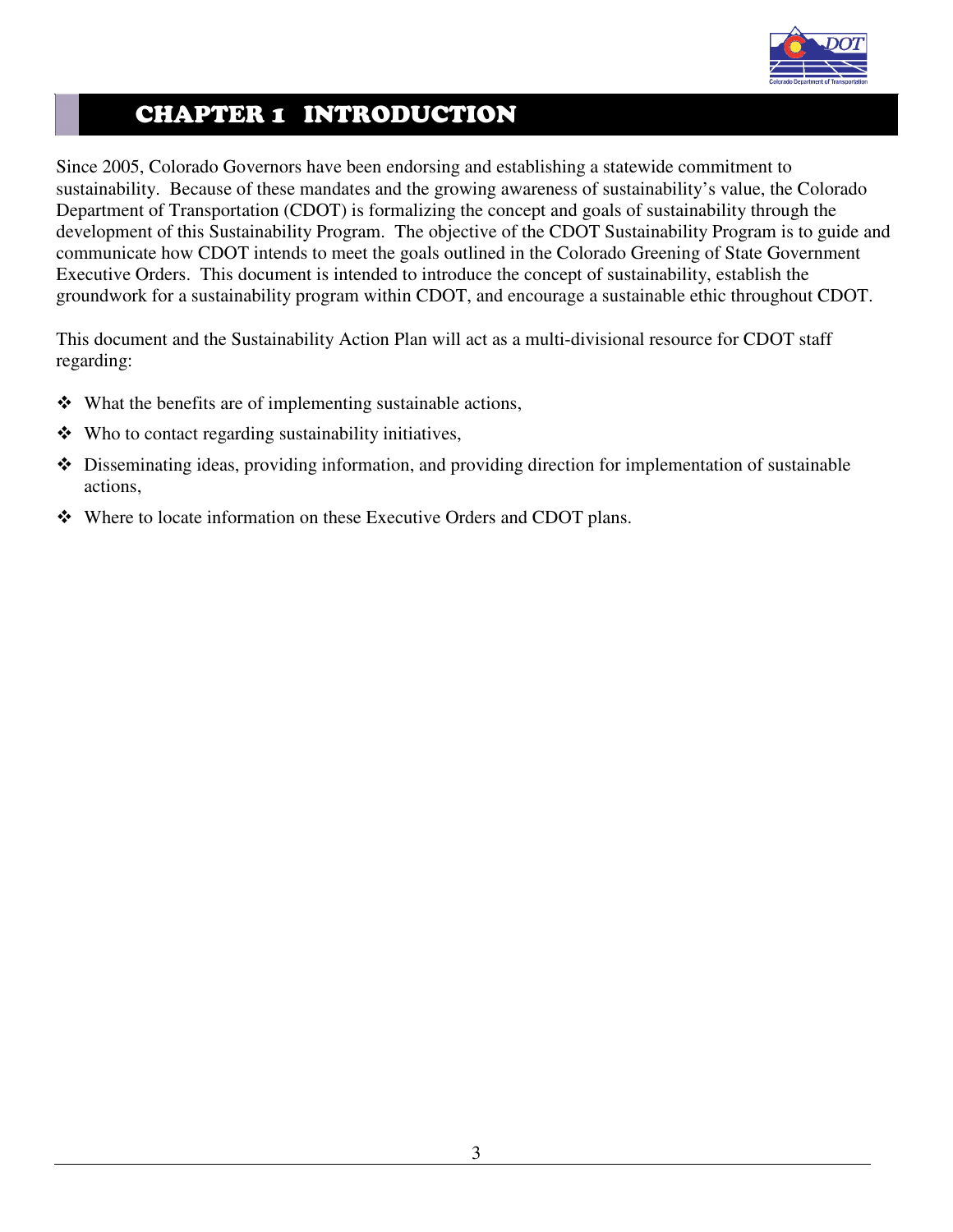

## CHAPTER 1 INTRODUCTION

Since 2005, Colorado Governors have been endorsing and establishing a statewide commitment to sustainability. Because of these mandates and the growing awareness of sustainability's value, the Colorado Department of Transportation (CDOT) is formalizing the concept and goals of sustainability through the development of this Sustainability Program. The objective of the CDOT Sustainability Program is to guide and communicate how CDOT intends to meet the goals outlined in the Colorado Greening of State Government Executive Orders. This document is intended to introduce the concept of sustainability, establish the groundwork for a sustainability program within CDOT, and encourage a sustainable ethic throughout CDOT.

This document and the Sustainability Action Plan will act as a multi-divisional resource for CDOT staff regarding:

- $\triangle$  What the benefits are of implementing sustainable actions,
- $\triangle$  Who to contact regarding sustainability initiatives,
- Disseminating ideas, providing information, and providing direction for implementation of sustainable actions,
- Where to locate information on these Executive Orders and CDOT plans.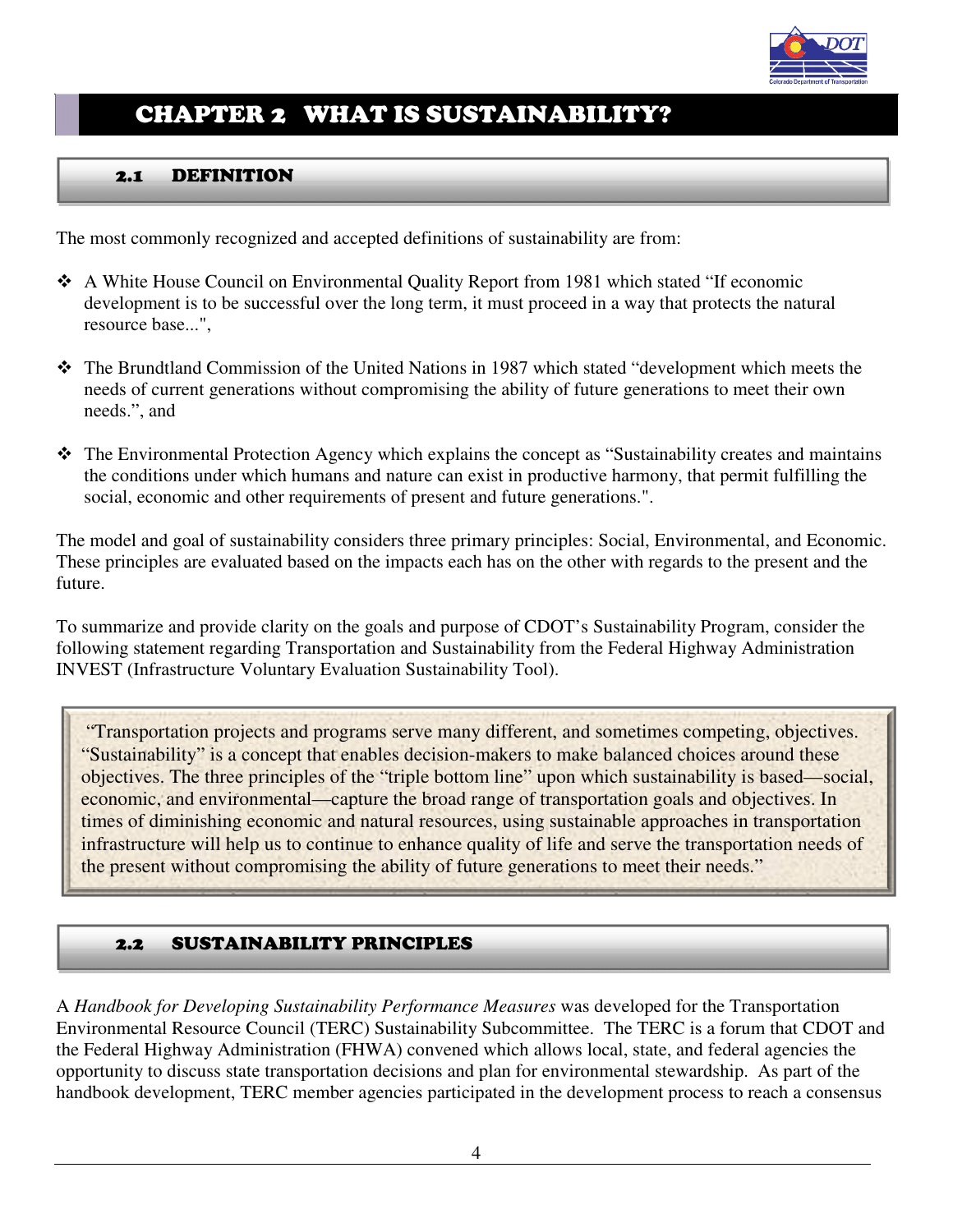

# CHAPTER 2 WHAT IS SUSTAINABILITY?

#### 2.1 DEFINITION

The most commonly recognized and accepted definitions of sustainability are from:

- A White House Council on Environmental Quality Report from 1981 which stated "If economic development is to be successful over the long term, it must proceed in a way that protects the natural resource base...",
- The Brundtland Commission of the United Nations in 1987 which stated "development which meets the needs of current generations without compromising the ability of future generations to meet their own needs.", and
- The Environmental Protection Agency which explains the concept as "Sustainability creates and maintains the conditions under which humans and nature can exist in productive harmony, that permit fulfilling the social, economic and other requirements of present and future generations.".

The model and goal of sustainability considers three primary principles: Social, Environmental, and Economic. These principles are evaluated based on the impacts each has on the other with regards to the present and the future.

To summarize and provide clarity on the goals and purpose of CDOT's Sustainability Program, consider the following statement regarding Transportation and Sustainability from the Federal Highway Administration INVEST (Infrastructure Voluntary Evaluation Sustainability Tool).

 "Transportation projects and programs serve many different, and sometimes competing, objectives. "Sustainability" is a concept that enables decision-makers to make balanced choices around these objectives. The three principles of the "triple bottom line" upon which sustainability is based—social, economic, and environmental—capture the broad range of transportation goals and objectives. In times of diminishing economic and natural resources, using sustainable approaches in transportation infrastructure will help us to continue to enhance quality of life and serve the transportation needs of the present without compromising the ability of future generations to meet their needs."

#### 2.2 SUSTAINABILITY PRINCIPLES

A *Handbook for Developing Sustainability Performance Measures* was developed for the Transportation Environmental Resource Council (TERC) Sustainability Subcommittee. The TERC is a forum that CDOT and the Federal Highway Administration (FHWA) convened which allows local, state, and federal agencies the opportunity to discuss state transportation decisions and plan for environmental stewardship. As part of the handbook development, TERC member agencies participated in the development process to reach a consensus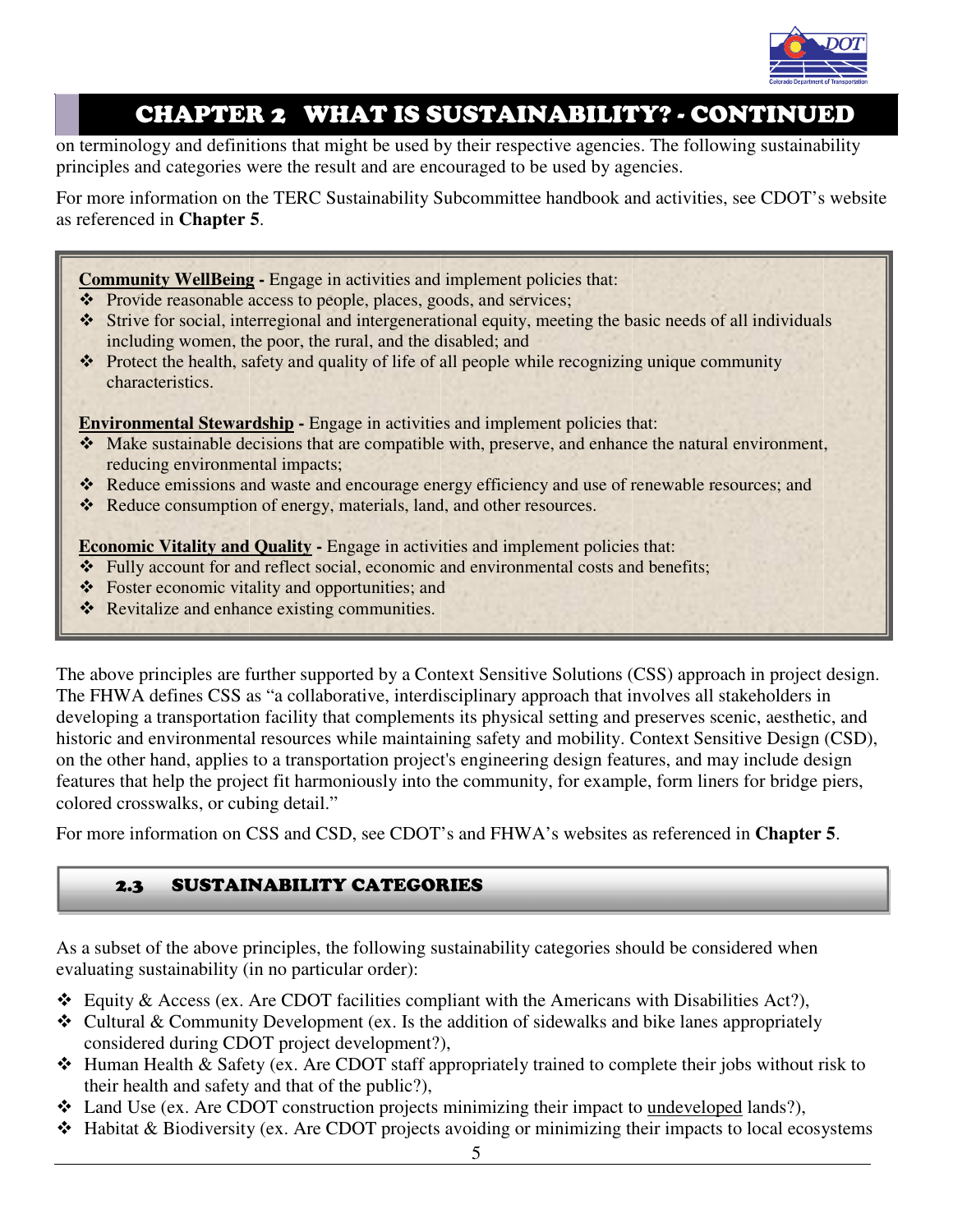

## CHAPTER 2 WHAT IS SUSTAINABILITY? - CONTINUED

on terminology and definitions that might be used by their respective agencies. The following sustainability principles and categories were the result and are encouraged to be used by agencies.

For more information on the TERC Sustainability Subcommittee handbook and activities, see CDOT's website as referenced in **Chapter 5**.

**Community WellBeing -** Engage in activities and implement policies that:

- Provide reasonable access to people, places, goods, and services;
- Strive for social, interregional and intergenerational equity, meeting the basic needs of all individuals including women, the poor, the rural, and the disabled; and
- $\cdot \cdot$  Protect the health, safety and quality of life of all people while recognizing unique community characteristics.

**Environmental Stewardship - Engage in activities and implement policies that:** 

- Make sustainable decisions that are compatible with, preserve, and enhance the natural environment, reducing environmental impacts;
- \* Reduce emissions and waste and encourage energy efficiency and use of renewable resources; and
- Reduce consumption of energy, materials, land, and other resources.

**Economic Vitality and Quality - Engage in activities and implement policies that:** 

- \* Fully account for and reflect social, economic and environmental costs and benefits;
- Foster economic vitality and opportunities; and
- Revitalize and enhance existing communities.

The above principles are further supported by a Context Sensitive Solutions (CSS) approach in project design. The FHWA defines CSS as "a collaborative, interdisciplinary approach that involves all stakeholders in developing a transportation facility that complements its physical setting and preserves scenic, aesthetic, and historic and environmental resources while maintaining safety and mobility. Context Sensitive Design (CSD), on the other hand, applies to a transportation project's engineering design features, and may include design features that help the project fit harmoniously into the community, for example, form liners for bridge piers, colored crosswalks, or cubing detail."

For more information on CSS and CSD, see CDOT's and FHWA's websites as referenced in **Chapter 5**.

#### 2.3 SUSTAINABILITY CATEGORIES

As a subset of the above principles, the following sustainability categories should be considered when evaluating sustainability (in no particular order):

- $\triangleleft$  Equity & Access (ex. Are CDOT facilities compliant with the Americans with Disabilities Act?),
- $\triangle$  Cultural & Community Development (ex. Is the addition of sidewalks and bike lanes appropriately considered during CDOT project development?),
- $\triangle$  Human Health & Safety (ex. Are CDOT staff appropriately trained to complete their jobs without risk to their health and safety and that of the public?),
- Land Use (ex. Are CDOT construction projects minimizing their impact to undeveloped lands?),
- $\triangle$  Habitat & Biodiversity (ex. Are CDOT projects avoiding or minimizing their impacts to local ecosystems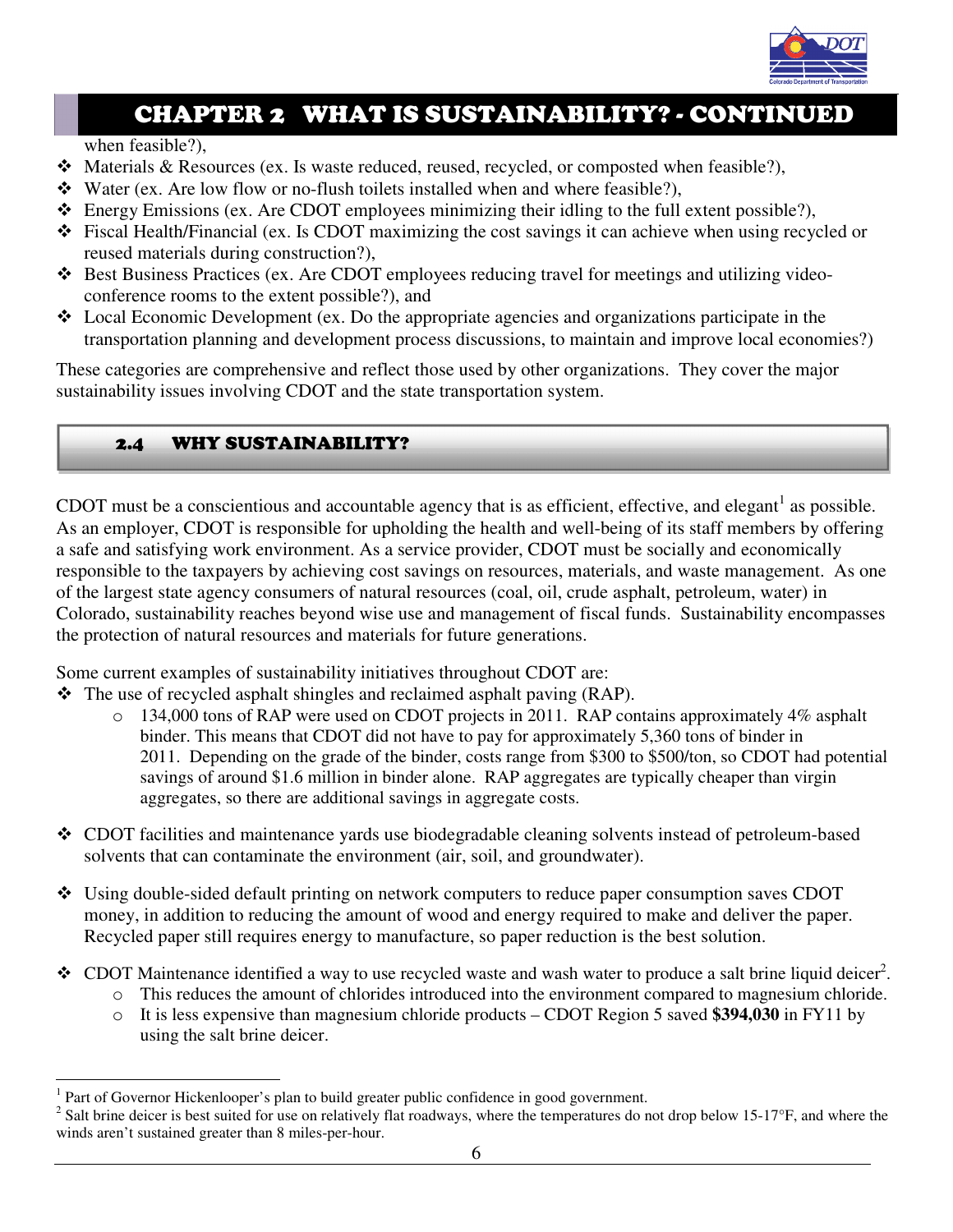

# CHAPTER 2 WHAT IS SUSTAINABILITY? - CONTINUED

when feasible?),

- $\triangleleft$  Materials & Resources (ex. Is waste reduced, reused, recycled, or composted when feasible?),
- Water (ex. Are low flow or no-flush toilets installed when and where feasible?),
- $\triangle$  Energy Emissions (ex. Are CDOT employees minimizing their idling to the full extent possible?),
- Fiscal Health/Financial (ex. Is CDOT maximizing the cost savings it can achieve when using recycled or reused materials during construction?),
- Best Business Practices (ex. Are CDOT employees reducing travel for meetings and utilizing videoconference rooms to the extent possible?), and
- Local Economic Development (ex. Do the appropriate agencies and organizations participate in the transportation planning and development process discussions, to maintain and improve local economies?)

These categories are comprehensive and reflect those used by other organizations. They cover the major sustainability issues involving CDOT and the state transportation system.

#### 2.4 WHY SUSTAINABILITY?

CDOT must be a conscientious and accountable agency that is as efficient, effective, and elegant<sup>1</sup> as possible. As an employer, CDOT is responsible for upholding the health and well-being of its staff members by offering a safe and satisfying work environment. As a service provider, CDOT must be socially and economically responsible to the taxpayers by achieving cost savings on resources, materials, and waste management. As one of the largest state agency consumers of natural resources (coal, oil, crude asphalt, petroleum, water) in Colorado, sustainability reaches beyond wise use and management of fiscal funds. Sustainability encompasses the protection of natural resources and materials for future generations.

Some current examples of sustainability initiatives throughout CDOT are:

 $\hat{\mathbf{\cdot}}$  The use of recycled asphalt shingles and reclaimed asphalt paving (RAP).

- o 134,000 tons of RAP were used on CDOT projects in 2011. RAP contains approximately 4% asphalt binder. This means that CDOT did not have to pay for approximately 5,360 tons of binder in 2011. Depending on the grade of the binder, costs range from \$300 to \$500/ton, so CDOT had potential savings of around \$1.6 million in binder alone. RAP aggregates are typically cheaper than virgin aggregates, so there are additional savings in aggregate costs.
- CDOT facilities and maintenance yards use biodegradable cleaning solvents instead of petroleum-based solvents that can contaminate the environment (air, soil, and groundwater).
- Using double-sided default printing on network computers to reduce paper consumption saves CDOT money, in addition to reducing the amount of wood and energy required to make and deliver the paper. Recycled paper still requires energy to manufacture, so paper reduction is the best solution.
- $\bullet$  CDOT Maintenance identified a way to use recycled waste and wash water to produce a salt brine liquid deicer<sup>2</sup>.
	- o This reduces the amount of chlorides introduced into the environment compared to magnesium chloride.
	- o It is less expensive than magnesium chloride products CDOT Region 5 saved **\$394,030** in FY11 by using the salt brine deicer.

 1 Part of Governor Hickenlooper's plan to build greater public confidence in good government.

<sup>&</sup>lt;sup>2</sup> Salt brine deicer is best suited for use on relatively flat roadways, where the temperatures do not drop below 15-17°F, and where the winds aren't sustained greater than 8 miles-per-hour.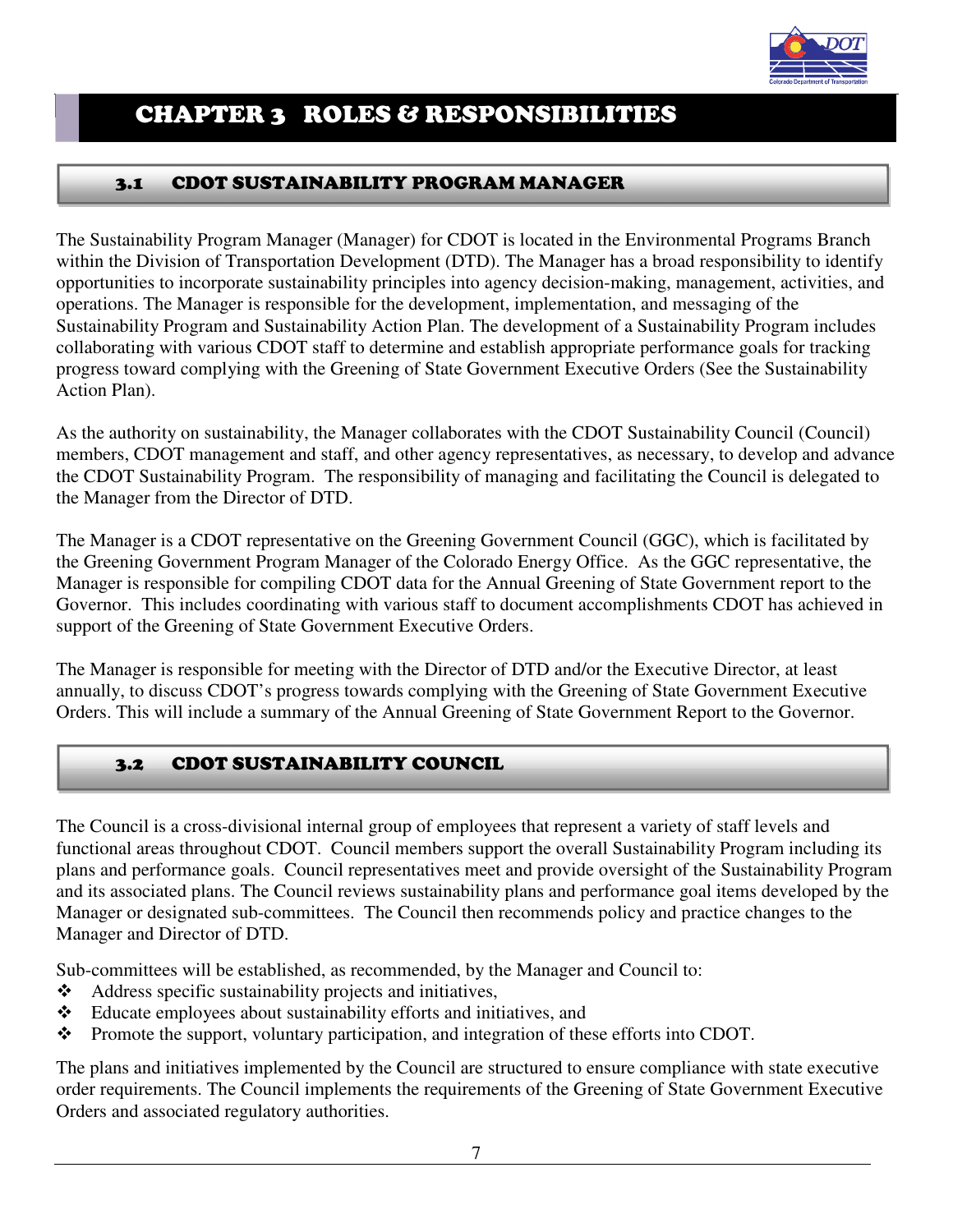

## CHAPTER 3 ROLES & RESPONSIBILITIES

#### 3.1 CDOT SUSTAINABILITY PROGRAM MANAGER

The Sustainability Program Manager (Manager) for CDOT is located in the Environmental Programs Branch within the Division of Transportation Development (DTD). The Manager has a broad responsibility to identify opportunities to incorporate sustainability principles into agency decision-making, management, activities, and operations. The Manager is responsible for the development, implementation, and messaging of the Sustainability Program and Sustainability Action Plan. The development of a Sustainability Program includes collaborating with various CDOT staff to determine and establish appropriate performance goals for tracking progress toward complying with the Greening of State Government Executive Orders (See the Sustainability Action Plan).

As the authority on sustainability, the Manager collaborates with the CDOT Sustainability Council (Council) members, CDOT management and staff, and other agency representatives, as necessary, to develop and advance the CDOT Sustainability Program. The responsibility of managing and facilitating the Council is delegated to the Manager from the Director of DTD.

The Manager is a CDOT representative on the Greening Government Council (GGC), which is facilitated by the Greening Government Program Manager of the Colorado Energy Office. As the GGC representative, the Manager is responsible for compiling CDOT data for the Annual Greening of State Government report to the Governor. This includes coordinating with various staff to document accomplishments CDOT has achieved in support of the Greening of State Government Executive Orders.

The Manager is responsible for meeting with the Director of DTD and/or the Executive Director, at least annually, to discuss CDOT's progress towards complying with the Greening of State Government Executive Orders. This will include a summary of the Annual Greening of State Government Report to the Governor.

#### 3.2 CDOT SUSTAINABILITY COUNCIL

The Council is a cross-divisional internal group of employees that represent a variety of staff levels and functional areas throughout CDOT. Council members support the overall Sustainability Program including its plans and performance goals. Council representatives meet and provide oversight of the Sustainability Program and its associated plans. The Council reviews sustainability plans and performance goal items developed by the Manager or designated sub-committees. The Council then recommends policy and practice changes to the Manager and Director of DTD.

Sub-committees will be established, as recommended, by the Manager and Council to:

- Address specific sustainability projects and initiatives,
- Educate employees about sustainability efforts and initiatives, and
- \* Promote the support, voluntary participation, and integration of these efforts into CDOT.

The plans and initiatives implemented by the Council are structured to ensure compliance with state executive order requirements. The Council implements the requirements of the Greening of State Government Executive Orders and associated regulatory authorities.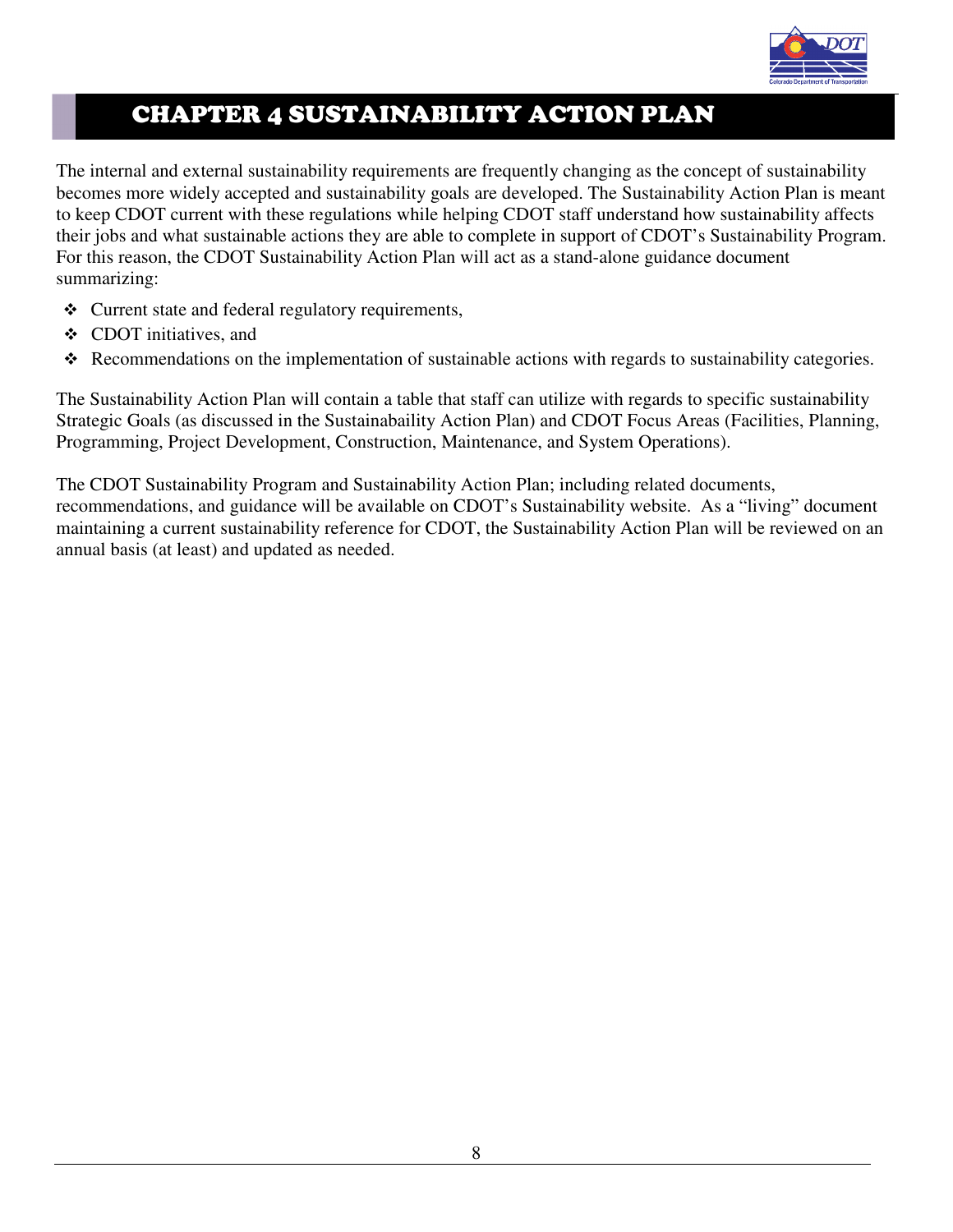

## CHAPTER 4 SUSTAINABILITY ACTION PLAN

The internal and external sustainability requirements are frequently changing as the concept of sustainability becomes more widely accepted and sustainability goals are developed. The Sustainability Action Plan is meant to keep CDOT current with these regulations while helping CDOT staff understand how sustainability affects their jobs and what sustainable actions they are able to complete in support of CDOT's Sustainability Program. For this reason, the CDOT Sustainability Action Plan will act as a stand-alone guidance document summarizing:

- Current state and federal regulatory requirements,
- CDOT initiatives, and
- Recommendations on the implementation of sustainable actions with regards to sustainability categories.

The Sustainability Action Plan will contain a table that staff can utilize with regards to specific sustainability Strategic Goals (as discussed in the Sustainabaility Action Plan) and CDOT Focus Areas (Facilities, Planning, Programming, Project Development, Construction, Maintenance, and System Operations).

The CDOT Sustainability Program and Sustainability Action Plan; including related documents, recommendations, and guidance will be available on CDOT's Sustainability website. As a "living" document maintaining a current sustainability reference for CDOT, the Sustainability Action Plan will be reviewed on an annual basis (at least) and updated as needed.